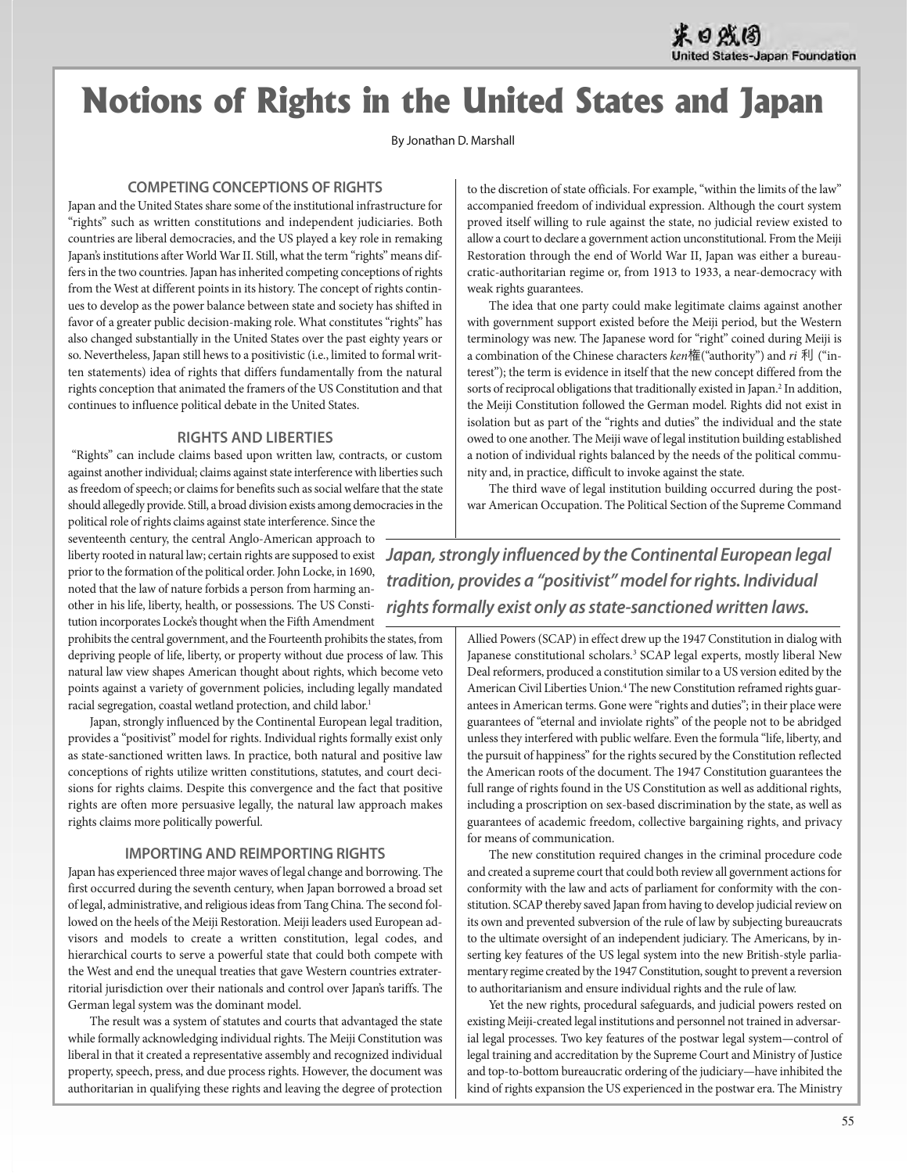# **Notions of Rights in the United States and Japan**

By Jonathan D. Marshall

#### **COMPETING CONCEPTIONS OF RIGHTS**

Japan and the United States share some of the institutional infrastructure for "rights" such as written constitutions and independent judiciaries. Both countries are liberal democracies, and the US played a key role in remaking Japan's institutions after World War II. Still, what the term "rights" means differs in the two countries. Japan has inherited competing conceptions of rights from the West at different points in its history. The concept of rights continues to develop as the power balance between state and society has shifted in favor of a greater public decision-making role. What constitutes "rights" has also changed substantially in the United States over the past eighty years or so. Nevertheless, Japan still hews to a positivistic (i.e., limited to formal written statements) idea of rights that differs fundamentally from the natural rights conception that animated the framers of the US Constitution and that continues to influence political debate in the United States.

#### **RIGHTS AND LIBERTIES**

"Rights" can include claims based upon written law, contracts, or custom against another individual; claims against state interference with liberties such as freedom of speech; or claims for benefits such as social welfare that the state should allegedly provide. Still, a broad division exists among democracies in the

political role of rights claims against state interference. Since the seventeenth century, the central Anglo-American approach to prior to the formation of the political order. John Locke, in 1690, noted that the law of nature forbids a person from harming another in his life, liberty, health, or possessions. The US Constitution incorporates Locke's thought when the Fifth Amendment

prohibits the central government, and the Fourteenth prohibits the states, from depriving people of life, liberty, or property without due process of law. This natural law view shapes American thought about rights, which become veto points against a variety of government policies, including legally mandated racial segregation, coastal wetland protection, and child labor.<sup>1</sup>

Japan, strongly influenced by the Continental European legal tradition, provides a "positivist" model for rights. Individual rights formally exist only as state-sanctioned written laws. In practice, both natural and positive law conceptions of rights utilize written constitutions, statutes, and court decisions for rights claims. Despite this convergence and the fact that positive rights are often more persuasive legally, the natural law approach makes rights claims more politically powerful.

### **IMPORTING AND REIMPORTING RIGHTS**

Japan has experienced three major waves of legal change and borrowing. The first occurred during the seventh century, when Japan borrowed a broad set of legal, administrative, and religious ideas from Tang China. The second followed on the heels of the Meiji Restoration. Meiji leaders used European advisors and models to create a written constitution, legal codes, and hierarchical courts to serve a powerful state that could both compete with the West and end the unequal treaties that gave Western countries extraterritorial jurisdiction over their nationals and control over Japan's tariffs. The German legal system was the dominant model.

The result was a system of statutes and courts that advantaged the state while formally acknowledging individual rights. The Meiji Constitution was liberal in that it created a representative assembly and recognized individual property, speech, press, and due process rights. However, the document was authoritarian in qualifying these rights and leaving the degree of protection to the discretion of state officials. For example, "within the limits of the law" accompanied freedom of individual expression. Although the court system proved itself willing to rule against the state, no judicial review existed to allow a court to declare a government action unconstitutional. From the Meiji Restoration through the end of World War II, Japan was either a bureaucratic-authoritarian regime or, from 1913 to 1933, a near-democracy with weak rights guarantees.

The idea that one party could make legitimate claims against another with government support existed before the Meiji period, but the Western terminology was new. The Japanese word for "right" coined during Meiji is a combination of the Chinese characters  $ken$   $\mathbf{f}$  ("authority") and  $ri$  利 ("interest"); the term is evidence in itself that the new concept differed from the sorts of reciprocal obligations that traditionally existed in Japan.<sup>2</sup> In addition, the Meiji Constitution followed the German model. Rights did not exist in isolation but as part of the "rights and duties" the individual and the state owed to one another. The Meiji wave of legal institution building established a notion of individual rights balanced by the needs of the political community and, in practice, difficult to invoke against the state.

The third wave of legal institution building occurred during the postwar American Occupation. The Political Section of the Supreme Command

liberty rooted in natural law; certain rights are supposed to exist *Japan, strongly influenced by the Continental European legal tradition, provides a "positivist" model for rights. Individual rights formally exist only as state-sanctioned written laws.*

> Allied Powers (SCAP) in effect drew up the 1947 Constitution in dialog with Japanese constitutional scholars.<sup>3</sup> SCAP legal experts, mostly liberal New Deal reformers, produced a constitution similar to a US version edited by the American Civil Liberties Union.4 The new Constitution reframed rights guarantees in American terms. Gone were "rights and duties"; in their place were guarantees of "eternal and inviolate rights" of the people not to be abridged unless they interfered with public welfare. Even the formula "life, liberty, and the pursuit of happiness" for the rights secured by the Constitution reflected the American roots of the document. The 1947 Constitution guarantees the full range of rights found in the US Constitution as well as additional rights, including a proscription on sex-based discrimination by the state, as well as guarantees of academic freedom, collective bargaining rights, and privacy for means of communication.

> The new constitution required changes in the criminal procedure code and created a supreme court that could both review all government actions for conformity with the law and acts of parliament for conformity with the constitution. SCAP thereby saved Japan from having to develop judicial review on its own and prevented subversion of the rule of law by subjecting bureaucrats to the ultimate oversight of an independent judiciary. The Americans, by inserting key features of the US legal system into the new British-style parliamentary regime created by the 1947 Constitution, sought to prevent a reversion to authoritarianism and ensure individual rights and the rule of law.

> Yet the new rights, procedural safeguards, and judicial powers rested on existing Meiji-created legal institutions and personnel not trained in adversarial legal processes. Two key features of the postwar legal system—control of legal training and accreditation by the Supreme Court and Ministry of Justice and top-to-bottom bureaucratic ordering of the judiciary—have inhibited the kind of rights expansion the US experienced in the postwar era. The Ministry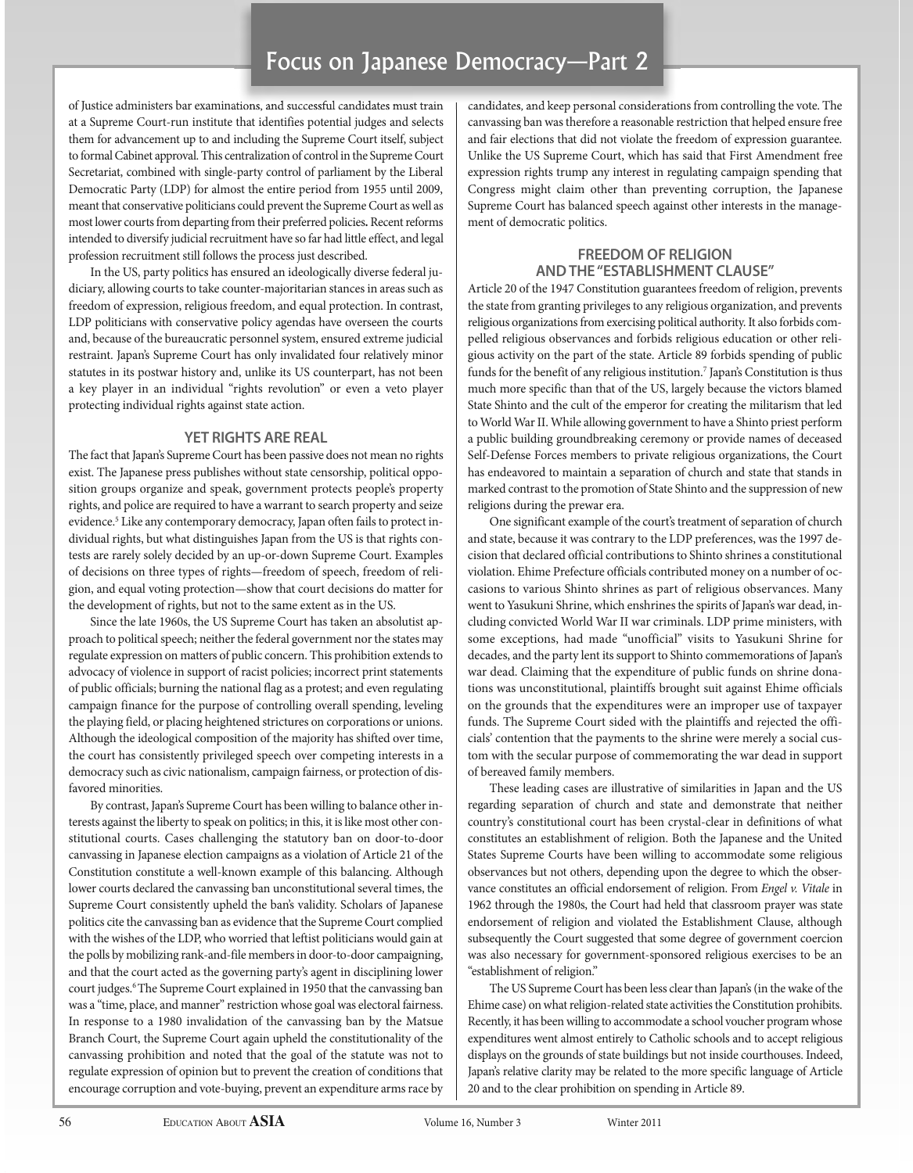# Focus on Japanese Democracy—Part 2

of Justice administers bar examinations, and successful candidates must train at a Supreme Court-run institute that identifies potential judges and selects them for advancement up to and including the Supreme Court itself, subject to formal Cabinet approval. This centralization of control in the Supreme Court Secretariat, combined with single-party control of parliament by the Liberal Democratic Party (LDP) for almost the entire period from 1955 until 2009, meant that conservative politicians could prevent the Supreme Court as well as most lower courts from departing from their preferred policies**.** Recent reforms intended to diversify judicial recruitment have so far had little effect, and legal profession recruitment still follows the process just described.

In the US, party politics has ensured an ideologically diverse federal judiciary, allowing courts to take counter-majoritarian stances in areas such as freedom of expression, religious freedom, and equal protection. In contrast, LDP politicians with conservative policy agendas have overseen the courts and, because of the bureaucratic personnel system, ensured extreme judicial restraint. Japan's Supreme Court has only invalidated four relatively minor statutes in its postwar history and, unlike its US counterpart, has not been a key player in an individual "rights revolution" or even a veto player protecting individual rights against state action.

#### **YET RIGHTS ARE REAL**

The fact that Japan's Supreme Court has been passive does not mean no rights exist. The Japanese press publishes without state censorship, political opposition groups organize and speak, government protects people's property rights, and police are required to have a warrant to search property and seize evidence.<sup>5</sup> Like any contemporary democracy, Japan often fails to protect individual rights, but what distinguishes Japan from the US is that rights contests are rarely solely decided by an up-or-down Supreme Court. Examples of decisions on three types of rights—freedom of speech, freedom of religion, and equal voting protection—show that court decisions do matter for the development of rights, but not to the same extent as in the US.

Since the late 1960s, the US Supreme Court has taken an absolutist approach to political speech; neither the federal government nor the states may regulate expression on matters of public concern. This prohibition extends to advocacy of violence in support of racist policies; incorrect print statements of public officials; burning the national flag as a protest; and even regulating campaign finance for the purpose of controlling overall spending, leveling the playing field, or placing heightened strictures on corporations or unions. Although the ideological composition of the majority has shifted over time, the court has consistently privileged speech over competing interests in a democracy such as civic nationalism, campaign fairness, or protection of disfavored minorities.

By contrast, Japan's Supreme Court has been willing to balance other interests against the liberty to speak on politics; in this, it is like most other constitutional courts. Cases challenging the statutory ban on door-to-door canvassing in Japanese election campaigns as a violation of Article 21 of the Constitution constitute a well-known example of this balancing. Although lower courts declared the canvassing ban unconstitutional several times, the Supreme Court consistently upheld the ban's validity. Scholars of Japanese politics cite the canvassing ban as evidence that the Supreme Court complied with the wishes of the LDP, who worried that leftist politicians would gain at the polls by mobilizing rank-and-file members in door-to-door campaigning, and that the court acted as the governing party's agent in disciplining lower court judges.6 The Supreme Court explained in 1950 that the canvassing ban was a "time, place, and manner" restriction whose goal was electoral fairness. In response to a 1980 invalidation of the canvassing ban by the Matsue Branch Court, the Supreme Court again upheld the constitutionality of the canvassing prohibition and noted that the goal of the statute was not to regulate expression of opinion but to prevent the creation of conditions that encourage corruption and vote-buying, prevent an expenditure arms race by

candidates, and keep personal considerations from controlling the vote. The canvassing ban was therefore a reasonable restriction that helped ensure free and fair elections that did not violate the freedom of expression guarantee. Unlike the US Supreme Court, which has said that First Amendment free expression rights trump any interest in regulating campaign spending that Congress might claim other than preventing corruption, the Japanese Supreme Court has balanced speech against other interests in the management of democratic politics.

## **FREEDOM OF RELIGION AND THE "ESTABLISHMENT CLAUSE"**

Article 20 of the 1947 Constitution guarantees freedom of religion, prevents the state from granting privileges to any religious organization, and prevents religious organizations from exercising political authority. It also forbids compelled religious observances and forbids religious education or other religious activity on the part of the state. Article 89 forbids spending of public funds for the benefit of any religious institution.<sup>7</sup> Japan's Constitution is thus much more specific than that of the US, largely because the victors blamed State Shinto and the cult of the emperor for creating the militarism that led to World War II. While allowing government to have a Shinto priest perform a public building groundbreaking ceremony or provide names of deceased Self-Defense Forces members to private religious organizations, the Court has endeavored to maintain a separation of church and state that stands in marked contrast to the promotion of State Shinto and the suppression of new religions during the prewar era.

One significant example of the court's treatment of separation of church and state, because it was contrary to the LDP preferences, was the 1997 decision that declared official contributions to Shinto shrines a constitutional violation. Ehime Prefecture officials contributed money on a number of occasions to various Shinto shrines as part of religious observances. Many went to Yasukuni Shrine, which enshrines the spirits of Japan's war dead, including convicted World War II war criminals. LDP prime ministers, with some exceptions, had made "unofficial" visits to Yasukuni Shrine for decades, and the party lent its support to Shinto commemorations of Japan's war dead. Claiming that the expenditure of public funds on shrine donations was unconstitutional, plaintiffs brought suit against Ehime officials on the grounds that the expenditures were an improper use of taxpayer funds. The Supreme Court sided with the plaintiffs and rejected the officials' contention that the payments to the shrine were merely a social custom with the secular purpose of commemorating the war dead in support of bereaved family members.

These leading cases are illustrative of similarities in Japan and the US regarding separation of church and state and demonstrate that neither country's constitutional court has been crystal-clear in definitions of what constitutes an establishment of religion. Both the Japanese and the United States Supreme Courts have been willing to accommodate some religious observances but not others, depending upon the degree to which the observance constitutes an official endorsement of religion. From Engel v. Vitale in 1962 through the 1980s, the Court had held that classroom prayer was state endorsement of religion and violated the Establishment Clause, although subsequently the Court suggested that some degree of government coercion was also necessary for government-sponsored religious exercises to be an "establishment of religion."

The US Supreme Court has been less clear than Japan's (in the wake of the Ehime case) on what religion-related state activities the Constitution prohibits. Recently, it has been willing to accommodate a school voucher program whose expenditures went almost entirely to Catholic schools and to accept religious displays on the grounds of state buildings but not inside courthouses. Indeed, Japan's relative clarity may be related to the more specific language of Article 20 and to the clear prohibition on spending in Article 89.